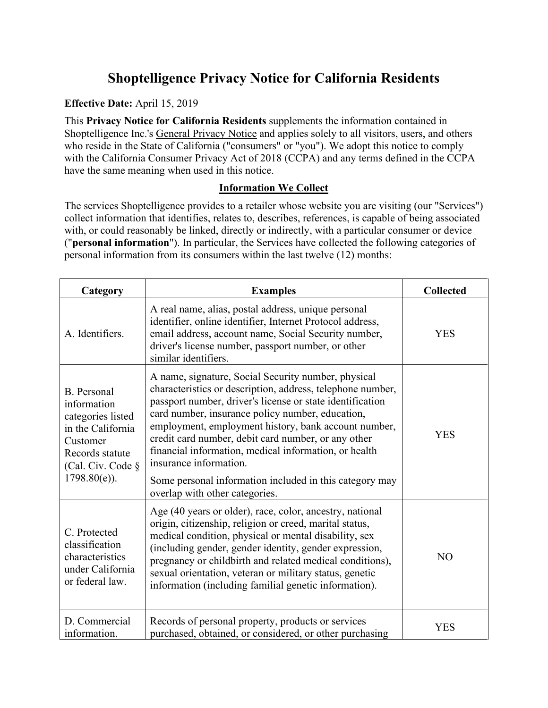# **Shoptelligence Privacy Notice for California Residents**

### **Effective Date:** April 15, 2019

This **Privacy Notice for California Residents** supplements the information contained in Shoptelligence Inc.'s [General Privacy Notice](https://www.shoptelligence.com/privacy-policy/) and applies solely to all visitors, users, and others who reside in the State of California ("consumers" or "you"). We adopt this notice to comply with the California Consumer Privacy Act of 2018 (CCPA) and any terms defined in the CCPA have the same meaning when used in this notice.

#### **Information We Collect**

The services Shoptelligence provides to a retailer whose website you are visiting (our "Services") collect information that identifies, relates to, describes, references, is capable of being associated with, or could reasonably be linked, directly or indirectly, with a particular consumer or device ("**personal information**"). In particular, the Services have collected the following categories of personal information from its consumers within the last twelve (12) months:

| Category                                                                                                                                           | <b>Examples</b>                                                                                                                                                                                                                                                                                                                                                                                                                                                                                                                   | <b>Collected</b> |
|----------------------------------------------------------------------------------------------------------------------------------------------------|-----------------------------------------------------------------------------------------------------------------------------------------------------------------------------------------------------------------------------------------------------------------------------------------------------------------------------------------------------------------------------------------------------------------------------------------------------------------------------------------------------------------------------------|------------------|
| A. Identifiers.                                                                                                                                    | A real name, alias, postal address, unique personal<br>identifier, online identifier, Internet Protocol address,<br>email address, account name, Social Security number,<br>driver's license number, passport number, or other<br>similar identifiers.                                                                                                                                                                                                                                                                            | <b>YES</b>       |
| <b>B.</b> Personal<br>information<br>categories listed<br>in the California<br>Customer<br>Records statute<br>(Cal. Civ. Code §<br>$1798.80(e)$ ). | A name, signature, Social Security number, physical<br>characteristics or description, address, telephone number,<br>passport number, driver's license or state identification<br>card number, insurance policy number, education,<br>employment, employment history, bank account number,<br>credit card number, debit card number, or any other<br>financial information, medical information, or health<br>insurance information.<br>Some personal information included in this category may<br>overlap with other categories. | <b>YES</b>       |
| C. Protected<br>classification<br>characteristics<br>under California<br>or federal law.                                                           | Age (40 years or older), race, color, ancestry, national<br>origin, citizenship, religion or creed, marital status,<br>medical condition, physical or mental disability, sex<br>(including gender, gender identity, gender expression,<br>pregnancy or childbirth and related medical conditions),<br>sexual orientation, veteran or military status, genetic<br>information (including familial genetic information).                                                                                                            | N <sub>O</sub>   |
| D. Commercial<br>information.                                                                                                                      | Records of personal property, products or services<br>purchased, obtained, or considered, or other purchasing                                                                                                                                                                                                                                                                                                                                                                                                                     | YES              |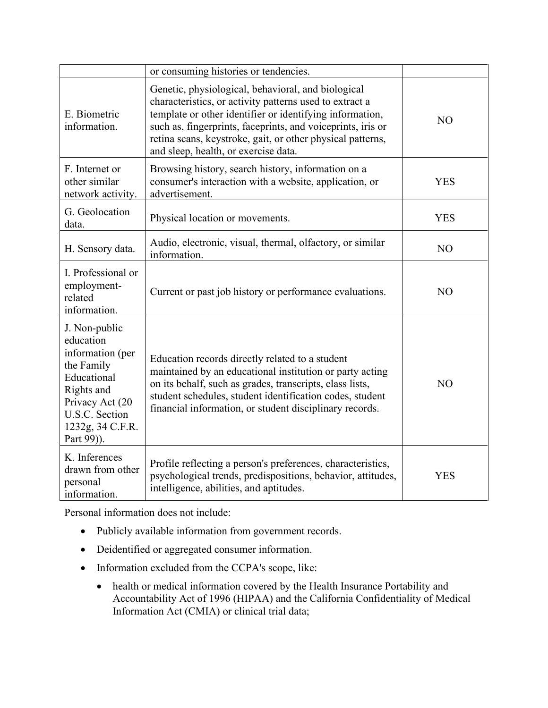|                                                                                                                                                                  | or consuming histories or tendencies.                                                                                                                                                                                                                                                                                                          |                |
|------------------------------------------------------------------------------------------------------------------------------------------------------------------|------------------------------------------------------------------------------------------------------------------------------------------------------------------------------------------------------------------------------------------------------------------------------------------------------------------------------------------------|----------------|
| E. Biometric<br>information.                                                                                                                                     | Genetic, physiological, behavioral, and biological<br>characteristics, or activity patterns used to extract a<br>template or other identifier or identifying information,<br>such as, fingerprints, faceprints, and voiceprints, iris or<br>retina scans, keystroke, gait, or other physical patterns,<br>and sleep, health, or exercise data. | N <sub>O</sub> |
| F. Internet or<br>other similar<br>network activity.                                                                                                             | Browsing history, search history, information on a<br>consumer's interaction with a website, application, or<br>advertisement.                                                                                                                                                                                                                 | <b>YES</b>     |
| G. Geolocation<br>data.                                                                                                                                          | Physical location or movements.                                                                                                                                                                                                                                                                                                                | <b>YES</b>     |
| H. Sensory data.                                                                                                                                                 | Audio, electronic, visual, thermal, olfactory, or similar<br>information.                                                                                                                                                                                                                                                                      | NO             |
| I. Professional or<br>employment-<br>related<br>information.                                                                                                     | Current or past job history or performance evaluations.                                                                                                                                                                                                                                                                                        | N <sub>O</sub> |
| J. Non-public<br>education<br>information (per<br>the Family<br>Educational<br>Rights and<br>Privacy Act (20<br>U.S.C. Section<br>1232g, 34 C.F.R.<br>Part 99)). | Education records directly related to a student<br>maintained by an educational institution or party acting<br>on its behalf, such as grades, transcripts, class lists,<br>student schedules, student identification codes, student<br>financial information, or student disciplinary records.                                                 | N <sub>O</sub> |
| K. Inferences<br>drawn from other<br>personal<br>information.                                                                                                    | Profile reflecting a person's preferences, characteristics,<br>psychological trends, predispositions, behavior, attitudes,<br>intelligence, abilities, and aptitudes.                                                                                                                                                                          | <b>YES</b>     |

Personal information does not include:

- Publicly available information from government records.
- Deidentified or aggregated consumer information.
- Information excluded from the CCPA's scope, like:
	- health or medical information covered by the Health Insurance Portability and Accountability Act of 1996 (HIPAA) and the California Confidentiality of Medical Information Act (CMIA) or clinical trial data;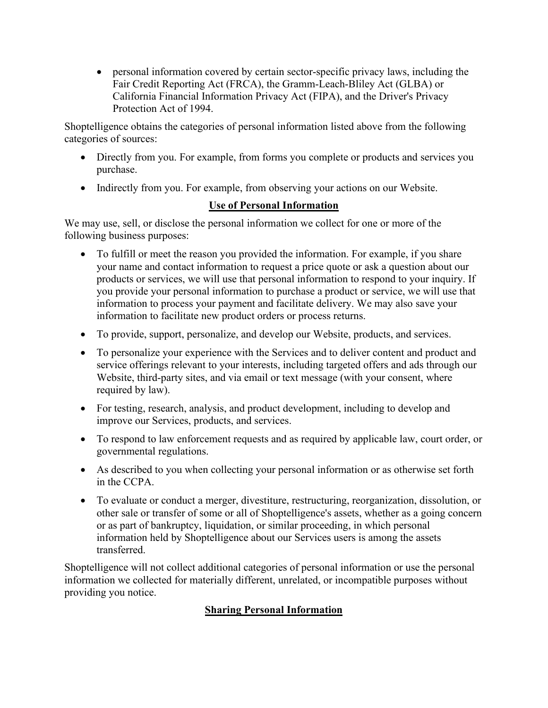• personal information covered by certain sector-specific privacy laws, including the Fair Credit Reporting Act (FRCA), the Gramm-Leach-Bliley Act (GLBA) or California Financial Information Privacy Act (FIPA), and the Driver's Privacy Protection Act of 1994.

Shoptelligence obtains the categories of personal information listed above from the following categories of sources:

- Directly from you. For example, from forms you complete or products and services you purchase.
- Indirectly from you. For example, from observing your actions on our Website.

# **Use of Personal Information**

We may use, sell, or disclose the personal information we collect for one or more of the following business purposes:

- To fulfill or meet the reason you provided the information. For example, if you share your name and contact information to request a price quote or ask a question about our products or services, we will use that personal information to respond to your inquiry. If you provide your personal information to purchase a product or service, we will use that information to process your payment and facilitate delivery. We may also save your information to facilitate new product orders or process returns.
- To provide, support, personalize, and develop our Website, products, and services.
- To personalize your experience with the Services and to deliver content and product and service offerings relevant to your interests, including targeted offers and ads through our Website, third-party sites, and via email or text message (with your consent, where required by law).
- For testing, research, analysis, and product development, including to develop and improve our Services, products, and services.
- To respond to law enforcement requests and as required by applicable law, court order, or governmental regulations.
- As described to you when collecting your personal information or as otherwise set forth in the CCPA.
- To evaluate or conduct a merger, divestiture, restructuring, reorganization, dissolution, or other sale or transfer of some or all of Shoptelligence's assets, whether as a going concern or as part of bankruptcy, liquidation, or similar proceeding, in which personal information held by Shoptelligence about our Services users is among the assets transferred.

Shoptelligence will not collect additional categories of personal information or use the personal information we collected for materially different, unrelated, or incompatible purposes without providing you notice.

# **Sharing Personal Information**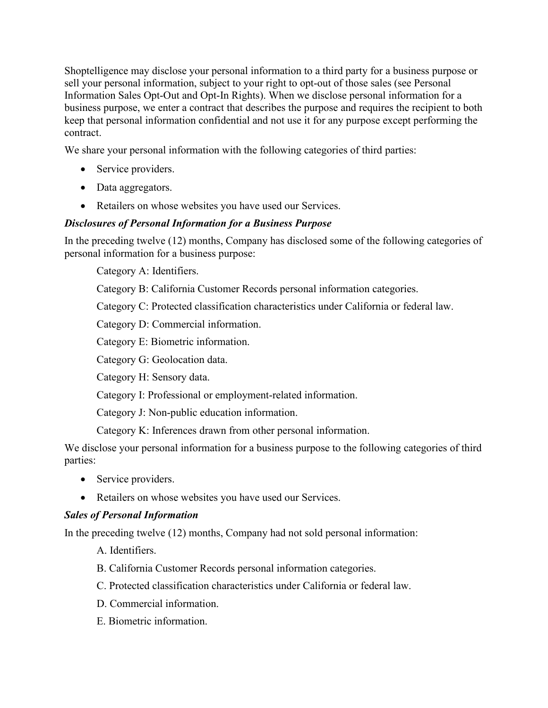Shoptelligence may disclose your personal information to a third party for a business purpose or sell your personal information, subject to your right to opt-out of those sales (see Personal Information Sales Opt-Out and Opt-In Rights). When we disclose personal information for a business purpose, we enter a contract that describes the purpose and requires the recipient to both keep that personal information confidential and not use it for any purpose except performing the contract.

We share your personal information with the following categories of third parties:

- Service providers.
- Data aggregators.
- Retailers on whose websites you have used our Services.

#### *Disclosures of Personal Information for a Business Purpose*

In the preceding twelve (12) months, Company has disclosed some of the following categories of personal information for a business purpose:

Category A: Identifiers.

Category B: California Customer Records personal information categories.

Category C: Protected classification characteristics under California or federal law.

Category D: Commercial information.

Category E: Biometric information.

Category G: Geolocation data.

Category H: Sensory data.

Category I: Professional or employment-related information.

Category J: Non-public education information.

Category K: Inferences drawn from other personal information.

We disclose your personal information for a business purpose to the following categories of third parties:

- Service providers.
- Retailers on whose websites you have used our Services.

#### *Sales of Personal Information*

In the preceding twelve (12) months, Company had not sold personal information:

- A. Identifiers.
- B. California Customer Records personal information categories.
- C. Protected classification characteristics under California or federal law.
- D. Commercial information.
- E. Biometric information.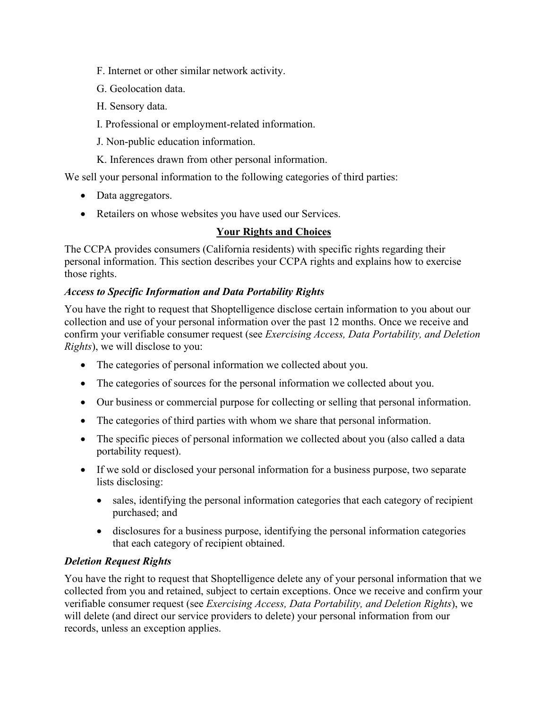- F. Internet or other similar network activity.
- G. Geolocation data.
- H. Sensory data.
- I. Professional or employment-related information.
- J. Non-public education information.
- K. Inferences drawn from other personal information.

We sell your personal information to the following categories of third parties:

- Data aggregators.
- Retailers on whose websites you have used our Services.

## **Your Rights and Choices**

The CCPA provides consumers (California residents) with specific rights regarding their personal information. This section describes your CCPA rights and explains how to exercise those rights.

## *Access to Specific Information and Data Portability Rights*

You have the right to request that Shoptelligence disclose certain information to you about our collection and use of your personal information over the past 12 months. Once we receive and confirm your verifiable consumer request (see *[Exercising Access, Data Portability, and Deletion](#page-5-0)  [Rights](#page-5-0)*), we will disclose to you:

- The categories of personal information we collected about you.
- The categories of sources for the personal information we collected about you.
- Our business or commercial purpose for collecting or selling that personal information.
- The categories of third parties with whom we share that personal information.
- The specific pieces of personal information we collected about you (also called a data portability request).
- If we sold or disclosed your personal information for a business purpose, two separate lists disclosing:
	- sales, identifying the personal information categories that each category of recipient purchased; and
	- disclosures for a business purpose, identifying the personal information categories that each category of recipient obtained.

# *Deletion Request Rights*

You have the right to request that Shoptelligence delete any of your personal information that we collected from you and retained, subject to certain exceptions. Once we receive and confirm your verifiable consumer request (see *[Exercising Access, Data Portability, and Deletion Rights](#page-5-0)*), we will delete (and direct our service providers to delete) your personal information from our records, unless an exception applies.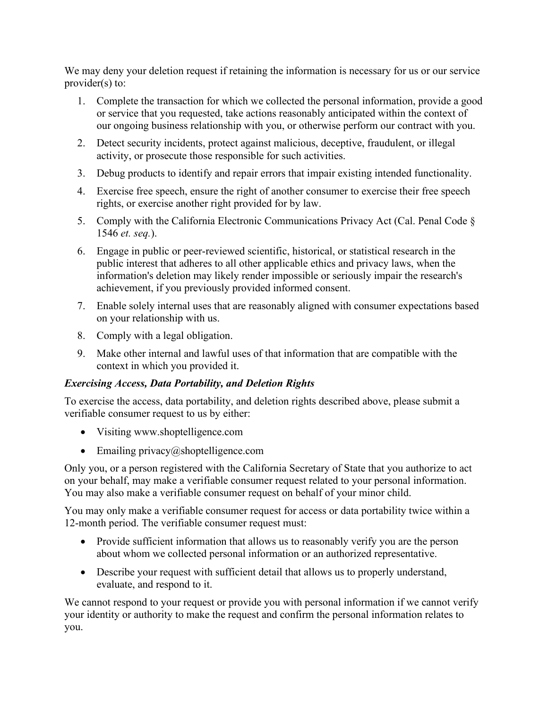We may deny your deletion request if retaining the information is necessary for us or our service provider(s) to:

- 1. Complete the transaction for which we collected the personal information, provide a good or service that you requested, take actions reasonably anticipated within the context of our ongoing business relationship with you, or otherwise perform our contract with you.
- 2. Detect security incidents, protect against malicious, deceptive, fraudulent, or illegal activity, or prosecute those responsible for such activities.
- 3. Debug products to identify and repair errors that impair existing intended functionality.
- 4. Exercise free speech, ensure the right of another consumer to exercise their free speech rights, or exercise another right provided for by law.
- 5. Comply with the California Electronic Communications Privacy Act (Cal. Penal Code § 1546 *et. seq.*).
- 6. Engage in public or peer-reviewed scientific, historical, or statistical research in the public interest that adheres to all other applicable ethics and privacy laws, when the information's deletion may likely render impossible or seriously impair the research's achievement, if you previously provided informed consent.
- 7. Enable solely internal uses that are reasonably aligned with consumer expectations based on your relationship with us.
- 8. Comply with a legal obligation.
- 9. Make other internal and lawful uses of that information that are compatible with the context in which you provided it.

# <span id="page-5-0"></span>*Exercising Access, Data Portability, and Deletion Rights*

To exercise the access, data portability, and deletion rights described above, please submit a verifiable consumer request to us by either:

- Visiting [www.shoptelligence.com](http://www.shoptelligence.com/)
- Emailing privacy $@$ shoptelligence.com

Only you, or a person registered with the California Secretary of State that you authorize to act on your behalf, may make a verifiable consumer request related to your personal information. You may also make a verifiable consumer request on behalf of your minor child.

You may only make a verifiable consumer request for access or data portability twice within a 12-month period. The verifiable consumer request must:

- Provide sufficient information that allows us to reasonably verify you are the person about whom we collected personal information or an authorized representative.
- Describe your request with sufficient detail that allows us to properly understand, evaluate, and respond to it.

We cannot respond to your request or provide you with personal information if we cannot verify your identity or authority to make the request and confirm the personal information relates to you.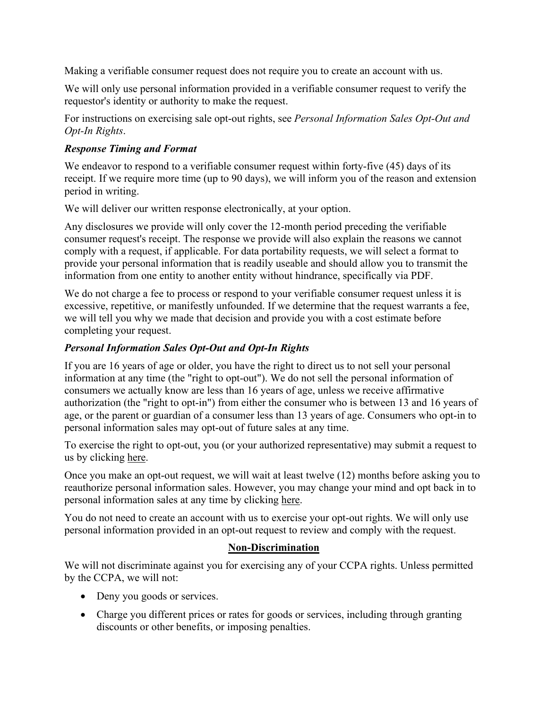Making a verifiable consumer request does not require you to create an account with us.

We will only use personal information provided in a verifiable consumer request to verify the requestor's identity or authority to make the request.

For instructions on exercising sale opt-out rights, see *[Personal Information Sales Opt-Out and](#page-6-0)  [Opt-In Rights](#page-6-0)*.

## *Response Timing and Format*

We endeavor to respond to a verifiable consumer request within forty-five (45) days of its receipt. If we require more time (up to 90 days), we will inform you of the reason and extension period in writing.

We will deliver our written response electronically, at your option.

Any disclosures we provide will only cover the 12-month period preceding the verifiable consumer request's receipt. The response we provide will also explain the reasons we cannot comply with a request, if applicable. For data portability requests, we will select a format to provide your personal information that is readily useable and should allow you to transmit the information from one entity to another entity without hindrance, specifically via PDF.

We do not charge a fee to process or respond to your verifiable consumer request unless it is excessive, repetitive, or manifestly unfounded. If we determine that the request warrants a fee, we will tell you why we made that decision and provide you with a cost estimate before completing your request.

## <span id="page-6-0"></span>*Personal Information Sales Opt-Out and Opt-In Rights*

If you are 16 years of age or older, you have the right to direct us to not sell your personal information at any time (the "right to opt-out"). We do not sell the personal information of consumers we actually know are less than 16 years of age, unless we receive affirmative authorization (the "right to opt-in") from either the consumer who is between 13 and 16 years of age, or the parent or guardian of a consumer less than 13 years of age. Consumers who opt-in to personal information sales may opt-out of future sales at any time.

To exercise the right to opt-out, you (or your authorized representative) may submit a request to us by clicking [here.](mailto:privacy@shoptelligence.com?subject=Do%20Not%20Sell%20My%20Personal%20Information)

Once you make an opt-out request, we will wait at least twelve (12) months before asking you to reauthorize personal information sales. However, you may change your mind and opt back in to personal information sales at any time by clicking [here.](mailto:privacy@shoptelligence.com?subject=I%20Authorize%20Selling%20My%20Personal%20Information)

You do not need to create an account with us to exercise your opt-out rights. We will only use personal information provided in an opt-out request to review and comply with the request.

#### **Non-Discrimination**

We will not discriminate against you for exercising any of your CCPA rights. Unless permitted by the CCPA, we will not:

- Deny you goods or services.
- Charge you different prices or rates for goods or services, including through granting discounts or other benefits, or imposing penalties.